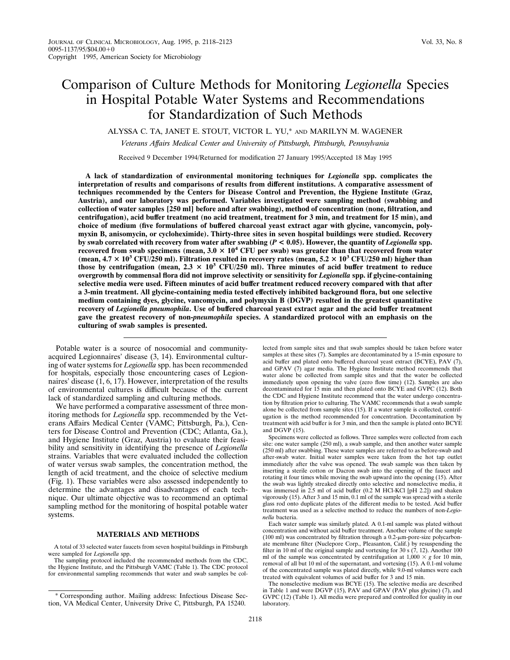# Comparison of Culture Methods for Monitoring *Legionella* Species in Hospital Potable Water Systems and Recommendations for Standardization of Such Methods

ALYSSA C. TA, JANET E. STOUT, VICTOR L. YU,\* AND MARILYN M. WAGENER

*Veterans Affairs Medical Center and University of Pittsburgh, Pittsburgh, Pennsylvania*

Received 9 December 1994/Returned for modification 27 January 1995/Accepted 18 May 1995

**A lack of standardization of environmental monitoring techniques for** *Legionella* **spp. complicates the interpretation of results and comparisons of results from different institutions. A comparative assessment of techniques recommended by the Centers for Disease Control and Prevention, the Hygiene Institute (Graz, Austria), and our laboratory was performed. Variables investigated were sampling method (swabbing and collection of water samples [250 ml] before and after swabbing), method of concentration (none, filtration, and centrifugation), acid buffer treatment (no acid treatment, treatment for 3 min, and treatment for 15 min), and choice of medium (five formulations of buffered charcoal yeast extract agar with glycine, vancomycin, polymyxin B, anisomycin, or cycloheximide). Thirty-three sites in seven hospital buildings were studied. Recovery by swab correlated with recovery from water after swabbing (***P* **< 0.05). However, the quantity of** *Legionella* **spp. recovered from swab specimens (mean,**  $3.0 \times 10^4$  **CFU per swab) was greater than that recovered from water** (mean,  $4.7 \times 10^3$  CFU/250 ml). Filtration resulted in recovery rates (mean,  $5.2 \times 10^3$  CFU/250 ml) higher than those by centrifugation (mean,  $2.3 \times 10^3$  CFU/250 ml). Three minutes of acid buffer treatment to reduce **overgrowth by commensal flora did not improve selectivity or sensitivity for** *Legionella* **spp. if glycine-containing selective media were used. Fifteen minutes of acid buffer treatment reduced recovery compared with that after a 3-min treatment. All glycine-containing media tested effectively inhibited background flora, but one selective medium containing dyes, glycine, vancomycin, and polymyxin B (DGVP) resulted in the greatest quantitative recovery of** *Legionella pneumophila***. Use of buffered charcoal yeast extract agar and the acid buffer treatment gave the greatest recovery of non-***pneumophila* **species. A standardized protocol with an emphasis on the culturing of swab samples is presented.**

Potable water is a source of nosocomial and communityacquired Legionnaires' disease (3, 14). Environmental culturing of water systems for *Legionella* spp. has been recommended for hospitals, especially those encountering cases of Legionnaires' disease (1, 6, 17). However, interpretation of the results of environmental cultures is difficult because of the current lack of standardized sampling and culturing methods.

We have performed a comparative assessment of three monitoring methods for *Legionella* spp. recommended by the Veterans Affairs Medical Center (VAMC; Pittsburgh, Pa.), Centers for Disease Control and Prevention (CDC; Atlanta, Ga.), and Hygiene Institute (Graz, Austria) to evaluate their feasibility and sensitivity in identifying the presence of *Legionella* strains. Variables that were evaluated included the collection of water versus swab samples, the concentration method, the length of acid treatment, and the choice of selective medium (Fig. 1). These variables were also assessed independently to determine the advantages and disadvantages of each technique. Our ultimate objective was to recommend an optimal sampling method for the monitoring of hospital potable water systems.

### **MATERIALS AND METHODS**

A total of 33 selected water faucets from seven hospital buildings in Pittsburgh were sampled for *Legionella* spp.

The sampling protocol included the recommended methods from the CDC, the Hygiene Institute, and the Pittsburgh VAMC (Table 1). The CDC protocol for environmental sampling recommends that water and swab samples be collected from sample sites and that swab samples should be taken before water samples at these sites (7). Samples are decontaminated by a 15-min exposure to acid buffer and plated onto buffered charcoal yeast extract (BCYE), PAV (7), and GPAV (7) agar media. The Hygiene Institute method recommends that water alone be collected from sample sites and that the water be collected immediately upon opening the valve (zero flow time) (12). Samples are also decontaminated for 15 min and then plated onto BCYE and GVPC (12). Both the CDC and Hygiene Institute recommend that the water undergo concentration by filtration prior to culturing. The VAMC recommends that a swab sample alone be collected from sample sites (15). If a water sample is collected, centrifugation is the method recommended for concentration. Decontamination by treatment with acid buffer is for 3 min, and then the sample is plated onto BCYE and DGVP (15).

Specimens were collected as follows. Three samples were collected from each site: one water sample (250 ml), a swab sample, and then another water sample (250 ml) after swabbing. These water samples are referred to as before-swab and after-swab water. Initial water samples were taken from the hot tap outlet immediately after the valve was opened. The swab sample was then taken by inserting a sterile cotton or Dacron swab into the opening of the faucet and rotating it four times while moving the swab upward into the opening (15). After the swab was lightly streaked directly onto selective and nonselective media, it was immersed in 2.5 ml of acid buffer (0.2 M HCl-KCl [pH 2.2]) and shaken vigorously (15). After 3 and 15 min, 0.1 ml of the sample was spread with a sterile glass rod onto duplicate plates of the different media to be tested. Acid buffer treatment was used as a selective method to reduce the numbers of non-*Legionella* bacteria.

Each water sample was similarly plated. A 0.1-ml sample was plated without concentration and without acid buffer treatment. Another volume of the sample (100 ml) was concentrated by filtration through a  $0.2$ - $\mu$ m-pore-size polycarbonate membrane filter (Nuclepore Corp., Pleasanton, Calif.) by resuspending the filter in 10 ml of the original sample and vortexing for 30 s  $(7, 12)$ . Another 100 ml of the sample was concentrated by centrifugation at  $1,000 \times g$  for 10 min, removal of all but 10 ml of the supernatant, and vortexing (15). A 0.1-ml volume of the concentrated sample was plated directly, while 9.0-ml volumes were each

treated with equivalent volumes of acid buffer for 3 and 15 min. The nonselective medium was BCYE (15). The selective media are described in Table 1 and were DGVP (15), PAV and GPAV (PAV plus glycine) (7), and GVPC (12) (Table 1). All media were prepared and controlled for quality in our laboratory.

<sup>\*</sup> Corresponding author. Mailing address: Infectious Disease Section, VA Medical Center, University Drive C, Pittsburgh, PA 15240.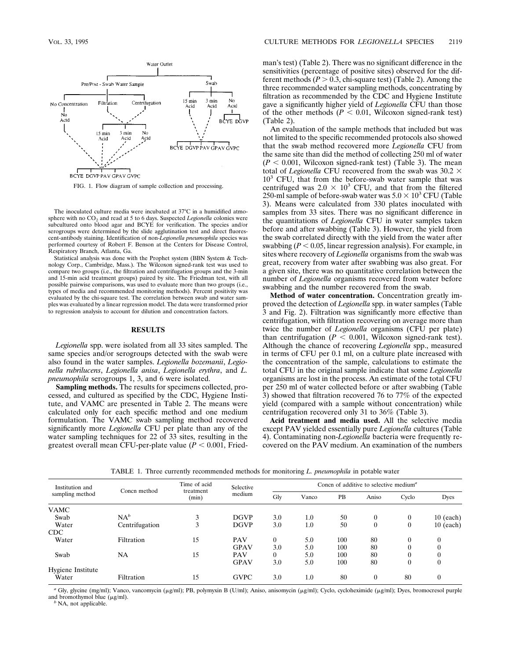

FIG. 1. Flow diagram of sample collection and processing.

The inoculated culture media were incubated at 37°C in a humidified atmosphere with no  $CO<sub>2</sub>$  and read at 5 to 6 days. Suspected *Legionella* colonies were subcultured onto blood agar and BCYE for verification. The species and/or serogroups were determined by the slide agglutination test and direct fluorescent-antibody staining. Identification of non-*Legionella pneumophila* species was performed courtesy of Robert F. Benson at the Centers for Disease Control, Respiratory Branch, Atlanta, Ga.

Statistical analysis was done with the Prophet system (BBN System & Technology Corp., Cambridge, Mass.). The Wilcoxon signed-rank test was used to compare two groups (i.e., the filtration and centrifugation groups and the 3-min and 15-min acid treatment groups) paired by site. The Friedman test, with all possible pairwise comparisons, was used to evaluate more than two groups (i.e., types of media and recommended monitoring methods). Percent positivity was evaluated by the chi-square test. The correlation between swab and water samples was evaluated by a linear regression model. The data were transformed prior to regression analysis to account for dilution and concentration factors.

### **RESULTS**

*Legionella* spp. were isolated from all 33 sites sampled. The same species and/or serogroups detected with the swab were also found in the water samples. *Legionella bozemanii*, *Legionella rubrilucens*, *Legionella anisa*, *Legionella erythra*, and *L. pneumophila* serogroups 1, 3, and 6 were isolated.

**Sampling methods.** The results for specimens collected, processed, and cultured as specified by the CDC, Hygiene Institute, and VAMC are presented in Table 2. The means were calculated only for each specific method and one medium formulation. The VAMC swab sampling method recovered significantly more *Legionella* CFU per plate than any of the water sampling techniques for 22 of 33 sites, resulting in the greatest overall mean CFU-per-plate value  $(P < 0.001,$  Friedman's test) (Table 2). There was no significant difference in the sensitivities (percentage of positive sites) observed for the different methods  $(P > 0.3$ , chi-square test) (Table 2). Among the three recommended water sampling methods, concentrating by filtration as recommended by the CDC and Hygiene Institute gave a significantly higher yield of *Legionella* CFU than those of the other methods  $(P < 0.01$ , Wilcoxon signed-rank test) (Table 2).

An evaluation of the sample methods that included but was not limited to the specific recommended protocols also showed that the swab method recovered more *Legionella* CFU from the same site than did the method of collecting 250 ml of water  $(P < 0.001$ , Wilcoxon signed-rank test) (Table 3). The mean total of *Legionella* CFU recovered from the swab was  $30.2 \times$  $10<sup>3</sup>$  CFU, that from the before-swab water sample that was centrifuged was  $2.0 \times 10^3$  CFU, and that from the filtered 250-ml sample of before-swab water was  $5.0 \times 10^3$  CFU (Table 3). Means were calculated from 330 plates inoculated with samples from 33 sites. There was no significant difference in the quantitations of *Legionella* CFU in water samples taken before and after swabbing (Table 3). However, the yield from the swab correlated directly with the yield from the water after swabbing  $(P < 0.05$ , linear regression analysis). For example, in sites where recovery of *Legionella* organisms from the swab was great, recovery from water after swabbing was also great. For a given site, there was no quantitative correlation between the number of *Legionella* organisms recovered from water before swabbing and the number recovered from the swab.

**Method of water concentration.** Concentration greatly improved the detection of *Legionella* spp. in water samples (Table 3 and Fig. 2). Filtration was significantly more effective than centrifugation, with filtration recovering on average more than twice the number of *Legionella* organisms (CFU per plate) than centrifugation ( $P < 0.001$ , Wilcoxon signed-rank test). Although the chance of recovering *Legionella* spp., measured in terms of CFU per 0.1 ml, on a culture plate increased with the concentration of the sample, calculations to estimate the total CFU in the original sample indicate that some *Legionella* organisms are lost in the process. An estimate of the total CFU per 250 ml of water collected before or after swabbing (Table 3) showed that filtration recovered 76 to 77% of the expected yield (compared with a sample without concentration) while centrifugation recovered only 31 to 36% (Table 3).

**Acid treatment and media used.** All the selective media except PAV yielded essentially pure *Legionella* cultures (Table 4). Contaminating non-*Legionella* bacteria were frequently recovered on the PAV medium. An examination of the numbers

| Institution and<br>sampling method | Concn method   | Time of acid<br>treatment<br>(min) | Selective<br>medium | Concn of additive to selective medium <sup>a</sup> |         |     |                |       |                  |
|------------------------------------|----------------|------------------------------------|---------------------|----------------------------------------------------|---------|-----|----------------|-------|------------------|
|                                    |                |                                    |                     | Glv                                                | Vanco   | PB  | Aniso          | Cyclo | Dyes             |
| <b>VAMC</b>                        |                |                                    |                     |                                                    |         |     |                |       |                  |
| Swab                               | $NA^b$         | 3                                  | <b>DGVP</b>         | 3.0                                                | $1.0\,$ | 50  | $\theta$       | 0     | $10$ (each)      |
| Water                              | Centrifugation | 3                                  | <b>DGVP</b>         | 3.0                                                | 1.0     | 50  | $\theta$       | 0     | $10$ (each)      |
| <b>CDC</b>                         |                |                                    |                     |                                                    |         |     |                |       |                  |
| Water                              | Filtration     | 15                                 | <b>PAV</b>          | $\Omega$                                           | 5.0     | 100 | 80             | 0     | 0                |
|                                    |                |                                    | <b>GPAV</b>         | 3.0                                                | 5.0     | 100 | 80             |       |                  |
| Swab                               | NA             | 15                                 | <b>PAV</b>          |                                                    | 5.0     | 100 | 80             |       |                  |
|                                    |                |                                    | <b>GPAV</b>         | 3.0                                                | 5.0     | 100 | 80             | 0     | 0                |
| Hygiene Institute                  |                |                                    |                     |                                                    |         |     |                |       |                  |
| Water                              | Filtration     | 15                                 | <b>GVPC</b>         | 3.0                                                | 1.0     | 80  | $\overline{0}$ | 80    | $\boldsymbol{0}$ |

TABLE 1. Three currently recommended methods for monitoring *L. pneumophila* in potable water

*a* Gly, glycine (mg/ml); Vanco, vancomycin (µg/ml); PB, polymyxin B (U/ml); Aniso, anisomycin (µg/ml); Cyclo, cycloheximide (µg/ml); Dyes, bromocresol purple and bromothymol blue ( $\mu$ g/ml). *b* NA, not applicable.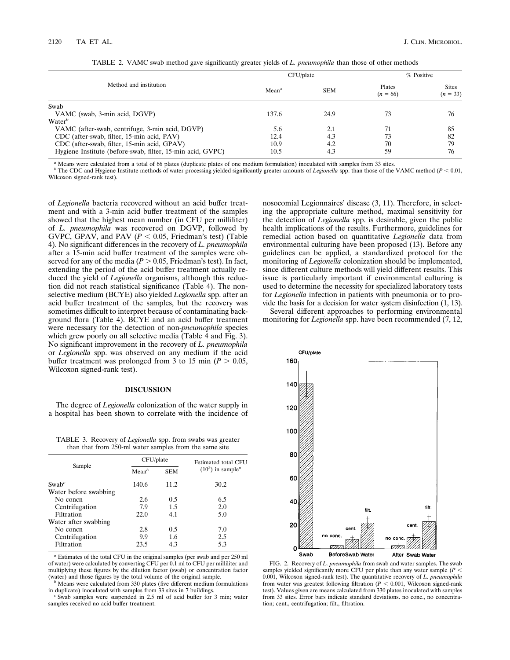|                                                            |                   | CFU/plate  | $%$ Positive         |                            |
|------------------------------------------------------------|-------------------|------------|----------------------|----------------------------|
| Method and institution                                     | Mean <sup>a</sup> | <b>SEM</b> | Plates<br>$(n = 66)$ | <b>Sites</b><br>$(n = 33)$ |
| Swab                                                       |                   |            |                      |                            |
| VAMC (swab, 3-min acid, DGVP)                              | 137.6             | 24.9       | 73                   | 76                         |
| Water <sup>b</sup>                                         |                   |            |                      |                            |
| VAMC (after-swab, centrifuge, 3-min acid, DGVP)            | 5.6               | 2.1        | 71                   | 85                         |
| CDC (after-swab, filter, 15-min acid, PAV)                 | 12.4              | 4.3        | 73                   | 82                         |
| CDC (after-swab, filter, 15-min acid, GPAV)                | 10.9              | 4.2        | 70                   | 79                         |
| Hygiene Institute (before-swab, filter, 15-min acid, GVPC) | 10.5              | 4.3        | 59                   | 76                         |

TABLE 2. VAMC swab method gave significantly greater yields of *L. pneumophila* than those of other methods

*<sup>a</sup>* Means were calculated from a total of 66 plates (duplicate plates of one medium formulation) inoculated with samples from 33 sites.

*b* The CDC and Hygiene Institute methods of water processing yielded significantly greater amounts of *Legionella* spp. than those of the VAMC method ( $P < 0.01$ , Wilcoxon signed-rank test).

of *Legionella* bacteria recovered without an acid buffer treatment and with a 3-min acid buffer treatment of the samples showed that the highest mean number (in CFU per milliliter) of *L. pneumophila* was recovered on DGVP, followed by GVPC, GPAV, and PAV ( $P < 0.05$ , Friedman's test) (Table 4). No significant differences in the recovery of *L. pneumophila* after a 15-min acid buffer treatment of the samples were observed for any of the media ( $P > 0.05$ , Friedman's test). In fact, extending the period of the acid buffer treatment actually reduced the yield of *Legionella* organisms, although this reduction did not reach statistical significance (Table 4). The nonselective medium (BCYE) also yielded *Legionella* spp. after an acid buffer treatment of the samples, but the recovery was sometimes difficult to interpret because of contaminating background flora (Table 4). BCYE and an acid buffer treatment were necessary for the detection of non-*pneumophila* species which grew poorly on all selective media (Table 4 and Fig. 3). No significant improvement in the recovery of *L. pneumophila* or *Legionella* spp. was observed on any medium if the acid buffer treatment was prolonged from 3 to 15 min ( $P > 0.05$ , Wilcoxon signed-rank test).

## **DISCUSSION**

The degree of *Legionella* colonization of the water supply in a hospital has been shown to correlate with the incidence of

TABLE 3. Recovery of *Legionella* spp. from swabs was greater than that from 250-ml water samples from the same site

|                       | CFU/plate         |            | Estimated total CFU                    |  |  |
|-----------------------|-------------------|------------|----------------------------------------|--|--|
| Sample                | Mean <sup>b</sup> | <b>SEM</b> | $(10^3)$ in sample <sup><i>a</i></sup> |  |  |
| $Swab^c$              | 140.6             | 11.2       | 30.2                                   |  |  |
| Water before swabbing |                   |            |                                        |  |  |
| No concn              | 2.6               | 0.5        | 6.5                                    |  |  |
| Centrifugation        | 7.9               | 1.5        | 2.0                                    |  |  |
| Filtration            | 22.0              | 4.1        | 5.0                                    |  |  |
| Water after swabbing  |                   |            |                                        |  |  |
| No concn              | 2.8               | 0.5        | 7.0                                    |  |  |
| Centrifugation        | 9.9               | 1.6        | 2.5                                    |  |  |
| Filtration            | 23.5              | 4.3        | 5.3                                    |  |  |

*<sup>a</sup>* Estimates of the total CFU in the original samples (per swab and per 250 ml of water) were calculated by converting CFU per 0.1 ml to CFU per milliliter and multiplying these figures by the dilution factor (swab) or concentration factor (water) and those figures by the total volume of the original sample.

 $\overrightarrow{b}$  Means were calculated from 330 plates (five different medium formulations in duplicate) inoculated with samples from 33 sites in 7 buildings.

*i*s Swab samples were suspended in 2.5 ml of acid buffer for 3 min; water samples received no acid buffer treatment.

nosocomial Legionnaires' disease (3, 11). Therefore, in selecting the appropriate culture method, maximal sensitivity for the detection of *Legionella* spp. is desirable, given the public health implications of the results. Furthermore, guidelines for remedial action based on quantitative *Legionella* data from environmental culturing have been proposed (13). Before any guidelines can be applied, a standardized protocol for the monitoring of *Legionella* colonization should be implemented, since different culture methods will yield different results. This issue is particularly important if environmental culturing is used to determine the necessity for specialized laboratory tests for *Legionella* infection in patients with pneumonia or to provide the basis for a decision for water system disinfection (1, 13).

Several different approaches to performing environmental monitoring for *Legionella* spp. have been recommended (7, 12,



FIG. 2. Recovery of *L. pneumophila* from swab and water samples. The swab samples yielded significantly more CFU per plate than any water sample  $(P <$ 0.001, Wilcoxon signed-rank test). The quantitative recovery of *L. pneumophila* from water was greatest following filtration  $(P < 0.001$ , Wilcoxon signed-rank test). Values given are means calculated from 330 plates inoculated with samples from 33 sites. Error bars indicate standard deviations. no conc., no concentration; cent., centrifugation; filt., filtration.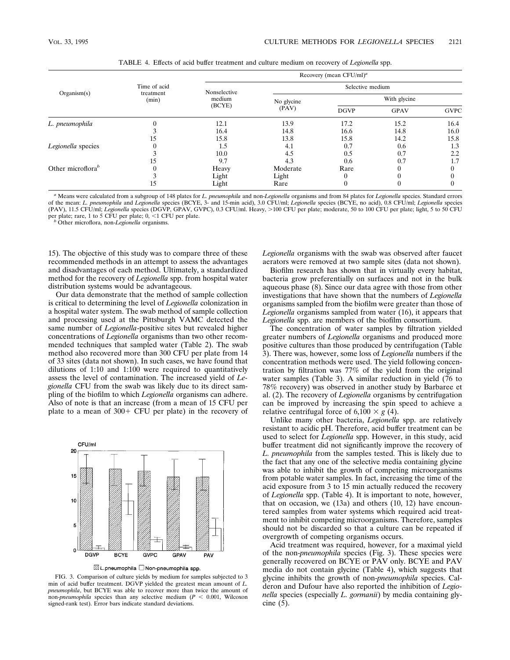|                               |                                    | Recovery (mean $CFU/ml$ <sup>a</sup> |                     |              |             |             |  |  |
|-------------------------------|------------------------------------|--------------------------------------|---------------------|--------------|-------------|-------------|--|--|
| Organism(s)                   | Time of acid<br>treatment<br>(min) | Nonselective<br>medium<br>(BCYE)     | Selective medium    |              |             |             |  |  |
|                               |                                    |                                      | No glycine<br>(PAV) | With glycine |             |             |  |  |
|                               |                                    |                                      |                     | <b>DGVP</b>  | <b>GPAV</b> | <b>GVPC</b> |  |  |
| L. pneumophila                |                                    | 12.1                                 | 13.9                | 17.2         | 15.2        | 16.4        |  |  |
|                               |                                    | 16.4                                 | 14.8                | 16.6         | 14.8        | 16.0        |  |  |
|                               | 15                                 | 15.8                                 | 13.8                | 15.8         | 14.2        | 15.8        |  |  |
| Legionella species            |                                    | 1.5                                  | 4.1                 | 0.7          | 0.6         | 1.3         |  |  |
|                               |                                    | 10.0                                 | 4.5                 | 0.5          | 0.7         | 2.2         |  |  |
|                               | 15                                 | 9.7                                  | 4.3                 | 0.6          | 0.7         | 1.7         |  |  |
| Other microflora <sup>b</sup> |                                    | Heavy                                | Moderate            | Rare         |             |             |  |  |
|                               |                                    | Light                                | Light               | $\theta$     |             |             |  |  |
|                               | 15                                 | Light                                | Rare                | $\mathbf{0}$ |             |             |  |  |

TABLE 4. Effects of acid buffer treatment and culture medium on recovery of *Legionella* spp.

*<sup>a</sup>* Means were calculated from a subgroup of 148 plates for *L. pneumophila* and non-*Legionella* organisms and from 84 plates for *Legionella* species. Standard errors of the mean: L. pneumophila and Legionella species (BCYE, 3- and 15-min acid), 3.0 CFU/ml; Legionella species (BCYE, no acid), 0.8 CFU/ml; Legionella species<br>(PAV), 11.5 CFU/ml; Legionella species (DGVP, GPAV, GVPC), 0.3 C per plate; rare, 1 to 5 CFU per plate; 0, <1 CFU per plate. *b* Other microflora, non-*Legionella* organisms.

15). The objective of this study was to compare three of these recommended methods in an attempt to assess the advantages and disadvantages of each method. Ultimately, a standardized method for the recovery of *Legionella* spp. from hospital water distribution systems would be advantageous.

Our data demonstrate that the method of sample collection is critical to determining the level of *Legionella* colonization in a hospital water system. The swab method of sample collection and processing used at the Pittsburgh VAMC detected the same number of *Legionella*-positive sites but revealed higher concentrations of *Legionella* organisms than two other recommended techniques that sampled water (Table 2). The swab method also recovered more than 300 CFU per plate from 14 of 33 sites (data not shown). In such cases, we have found that dilutions of 1:10 and 1:100 were required to quantitatively assess the level of contamination. The increased yield of *Legionella* CFU from the swab was likely due to its direct sampling of the biofilm to which *Legionella* organisms can adhere. Also of note is that an increase (from a mean of 15 CFU per plate to a mean of  $300+$  CFU per plate) in the recovery of



⊠L.pneumophila □Non-pneumophila spp.

FIG. 3. Comparison of culture yields by medium for samples subjected to 3 min of acid buffer treatment. DGVP yielded the greatest mean amount of *L. pneumophila*, but BCYE was able to recover more than twice the amount of non-*pneumophila* species than any selective medium ( $P < 0.001$ , Wilcoxon signed-rank test). Error bars indicate standard deviations.

*Legionella* organisms with the swab was observed after faucet aerators were removed at two sample sites (data not shown).

Biofilm research has shown that in virtually every habitat, bacteria grow preferentially on surfaces and not in the bulk aqueous phase (8). Since our data agree with those from other investigations that have shown that the numbers of *Legionella* organisms sampled from the biofilm were greater than those of *Legionella* organisms sampled from water (16), it appears that *Legionella* spp. are members of the biofilm consortium.

The concentration of water samples by filtration yielded greater numbers of *Legionella* organisms and produced more positive cultures than those produced by centrifugation (Table 3). There was, however, some loss of *Legionella* numbers if the concentration methods were used. The yield following concentration by filtration was 77% of the yield from the original water samples (Table 3). A similar reduction in yield (76 to 78% recovery) was observed in another study by Barbaree et al. (2). The recovery of *Legionella* organisms by centrifugation can be improved by increasing the spin speed to achieve a relative centrifugal force of  $6,100 \times g$  (4).

Unlike many other bacteria, *Legionella* spp. are relatively resistant to acidic pH. Therefore, acid buffer treatment can be used to select for *Legionella* spp. However, in this study, acid buffer treatment did not significantly improve the recovery of *L. pneumophila* from the samples tested. This is likely due to the fact that any one of the selective media containing glycine was able to inhibit the growth of competing microorganisms from potable water samples. In fact, increasing the time of the acid exposure from 3 to 15 min actually reduced the recovery of *Legionella* spp. (Table 4). It is important to note, however, that on occasion, we (13a) and others (10, 12) have encountered samples from water systems which required acid treatment to inhibit competing microorganisms. Therefore, samples should not be discarded so that a culture can be repeated if overgrowth of competing organisms occurs.

Acid treatment was required, however, for a maximal yield of the non-*pneumophila* species (Fig. 3). These species were generally recovered on BCYE or PAV only. BCYE and PAV media do not contain glycine (Table 4), which suggests that glycine inhibits the growth of non-*pneumophila* species. Calderon and Dufour have also reported the inhibition of *Legionella* species (especially *L. gormanii*) by media containing glycine (5).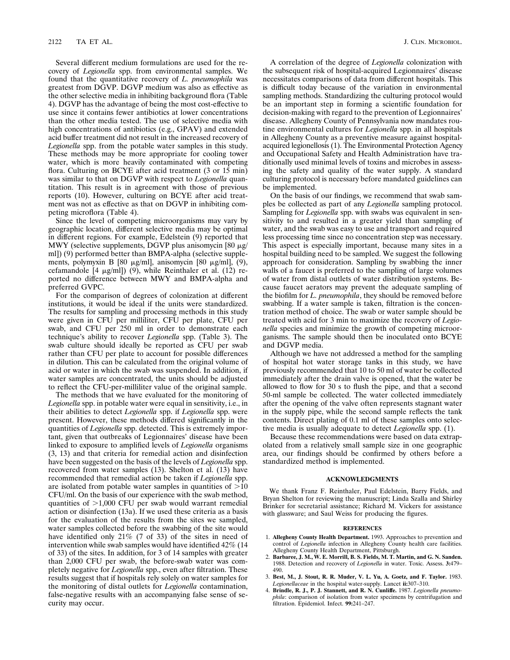Several different medium formulations are used for the recovery of *Legionella* spp. from environmental samples. We found that the quantitative recovery of *L. pneumophila* was greatest from DGVP. DGVP medium was also as effective as the other selective media in inhibiting background flora (Table 4). DGVP has the advantage of being the most cost-effective to use since it contains fewer antibiotics at lower concentrations than the other media tested. The use of selective media with high concentrations of antibiotics (e.g., GPAV) and extended acid buffer treatment did not result in the increased recovery of *Legionella* spp. from the potable water samples in this study. These methods may be more appropriate for cooling tower water, which is more heavily contaminated with competing flora. Culturing on BCYE after acid treatment (3 or 15 min) was similar to that on DGVP with respect to *Legionella* quantitation. This result is in agreement with those of previous reports (10). However, culturing on BCYE after acid treatment was not as effective as that on DGVP in inhibiting competing microflora (Table 4).

Since the level of competing microorganisms may vary by geographic location, different selective media may be optimal in different regions. For example, Edelstein (9) reported that MWY (selective supplements, DGVP plus anisomycin [80  $\mu$ g/ ml]) (9) performed better than BMPA-alpha (selective supplements, polymyxin B [80  $\mu$ g/ml], anisomycin [80  $\mu$ g/ml], (9), cefamandole  $[4 \mu g/ml]$  (9), while Reinthaler et al. (12) reported no difference between MWY and BMPA-alpha and preferred GVPC.

For the comparison of degrees of colonization at different institutions, it would be ideal if the units were standardized. The results for sampling and processing methods in this study were given in CFU per milliliter, CFU per plate, CFU per swab, and CFU per 250 ml in order to demonstrate each technique's ability to recover *Legionella* spp. (Table 3). The swab culture should ideally be reported as CFU per swab rather than CFU per plate to account for possible differences in dilution. This can be calculated from the original volume of acid or water in which the swab was suspended. In addition, if water samples are concentrated, the units should be adjusted to reflect the CFU-per-milliliter value of the original sample.

The methods that we have evaluated for the monitoring of *Legionella* spp. in potable water were equal in sensitivity, i.e., in their abilities to detect *Legionella* spp. if *Legionella* spp. were present. However, these methods differed significantly in the quantities of *Legionella* spp. detected. This is extremely important, given that outbreaks of Legionnaires' disease have been linked to exposure to amplified levels of *Legionella* organisms (3, 13) and that criteria for remedial action and disinfection have been suggested on the basis of the levels of *Legionella* spp. recovered from water samples (13). Shelton et al. (13) have recommended that remedial action be taken if *Legionella* spp. are isolated from potable water samples in quantities of  $>10$ CFU/ml. On the basis of our experience with the swab method, quantities of  $>1,000$  CFU per swab would warrant remedial action or disinfection (13a). If we used these criteria as a basis for the evaluation of the results from the sites we sampled, water samples collected before the swabbing of the site would have identified only 21% (7 of 33) of the sites in need of intervention while swab samples would have identified 42% (14 of 33) of the sites. In addition, for 3 of 14 samples with greater than 2,000 CFU per swab, the before-swab water was completely negative for *Legionella* spp., even after filtration. These results suggest that if hospitals rely solely on water samples for the monitoring of distal outlets for *Legionella* contamination, false-negative results with an accompanying false sense of security may occur.

A correlation of the degree of *Legionella* colonization with the subsequent risk of hospital-acquired Legionnaires' disease necessitates comparisons of data from different hospitals. This is difficult today because of the variation in environmental sampling methods. Standardizing the culturing protocol would be an important step in forming a scientific foundation for decision-making with regard to the prevention of Legionnaires' disease. Allegheny County of Pennsylvania now mandates routine environmental cultures for *Legionella* spp. in all hospitals in Allegheny County as a preventive measure against hospitalacquired legionellosis (1). The Environmental Protection Agency and Occupational Safety and Health Administration have traditionally used minimal levels of toxins and microbes in assessing the safety and quality of the water supply. A standard culturing protocol is necessary before mandated guidelines can be implemented.

On the basis of our findings, we recommend that swab samples be collected as part of any *Legionella* sampling protocol. Sampling for *Legionella* spp. with swabs was equivalent in sensitivity to and resulted in a greater yield than sampling of water, and the swab was easy to use and transport and required less processing time since no concentration step was necessary. This aspect is especially important, because many sites in a hospital building need to be sampled. We suggest the following approach for consideration. Sampling by swabbing the inner walls of a faucet is preferred to the sampling of large volumes of water from distal outlets of water distribution systems. Because faucet aerators may prevent the adequate sampling of the biofilm for *L. pneumophila*, they should be removed before swabbing. If a water sample is taken, filtration is the concentration method of choice. The swab or water sample should be treated with acid for 3 min to maximize the recovery of *Legionella* species and minimize the growth of competing microorganisms. The sample should then be inoculated onto BCYE and DGVP media.

Although we have not addressed a method for the sampling of hospital hot water storage tanks in this study, we have previously recommended that 10 to 50 ml of water be collected immediately after the drain valve is opened, that the water be allowed to flow for 30 s to flush the pipe, and that a second 50-ml sample be collected. The water collected immediately after the opening of the valve often represents stagnant water in the supply pipe, while the second sample reflects the tank contents. Direct plating of 0.1 ml of these samples onto selective media is usually adequate to detect *Legionella* spp. (1).

Because these recommendations were based on data extrapolated from a relatively small sample size in one geographic area, our findings should be confirmed by others before a standardized method is implemented.

## **ACKNOWLEDGMENTS**

We thank Franz F. Reinthaler, Paul Edelstein, Barry Fields, and Bryan Shelton for reviewing the manuscript; Linda Szalla and Shirley Brinker for secretarial assistance; Richard M. Vickers for assistance with glassware; and Saul Weiss for producing the figures.

#### **REFERENCES**

- 1. **Allegheny County Health Department.** 1993. Approaches to prevention and control of *Legionella* infection in Allegheny County health care facilities. Allegheny County Health Department, Pittsburgh.
- 2. **Barbaree, J. M., W. E. Morrill, B. S. Fields, M. T. Martin, and G. N. Sanden.** 1988. Detection and recovery of *Legionella* in water. Toxic. Assess. **3:**479– 490.
- 3. **Best, M., J. Stout, R. R. Muder, V. L. Yu, A. Goetz, and F. Taylor.** 1983. *Legionellaceae* in the hospital water-supply. Lancet **ii:**307–310.
- 4. **Brindle, R. J., P. J. Stannett, and R. N. Cunliffe.** 1987. *Legionella pneumophila*: comparison of isolation from water specimens by centrifugation and filtration. Epidemiol. Infect. **99:**241–247.